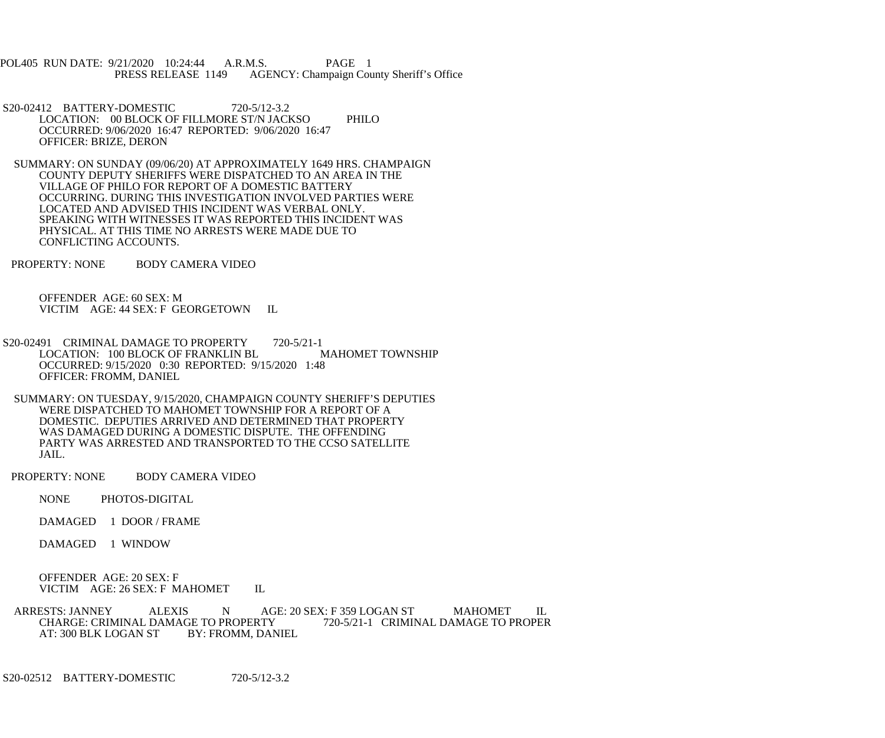POL405 RUN DATE: 9/21/2020 10:24:44 A.R.M.S. PAGE 1<br>PRESS RELEASE 1149 AGENCY: Champaign Cou AGENCY: Champaign County Sheriff's Office

- S20-02412 BATTERY-DOMESTIC 720-5/12-3.2 LOCATION: 00 BLOCK OF FILLMORE ST/N JACKSO PHILO OCCURRED: 9/06/2020 16:47 REPORTED: 9/06/2020 16:47 OFFICER: BRIZE, DERON
- SUMMARY: ON SUNDAY (09/06/20) AT APPROXIMATELY 1649 HRS. CHAMPAIGN COUNTY DEPUTY SHERIFFS WERE DISPATCHED TO AN AREA IN THE VILLAGE OF PHILO FOR REPORT OF A DOMESTIC BATTERY OCCURRING. DURING THIS INVESTIGATION INVOLVED PARTIES WERE LOCATED AND ADVISED THIS INCIDENT WAS VERBAL ONLY. SPEAKING WITH WITNESSES IT WAS REPORTED THIS INCIDENT WAS PHYSICAL. AT THIS TIME NO ARRESTS WERE MADE DUE TO CONFLICTING ACCOUNTS.
- PROPERTY: NONE BODY CAMERA VIDEO

 OFFENDER AGE: 60 SEX: M VICTIM AGE: 44 SEX: F GEORGETOWN IL

S20-02491 CRIMINAL DAMAGE TO PROPERTY 720-5/21-1<br>LOCATION: 100 BLOCK OF FRANKLIN BL MAHOMET TOWNSHIP LOCATION: 100 BLOCK OF FRANKLIN BL OCCURRED: 9/15/2020 0:30 REPORTED: 9/15/2020 1:48 OFFICER: FROMM, DANIEL

 SUMMARY: ON TUESDAY, 9/15/2020, CHAMPAIGN COUNTY SHERIFF'S DEPUTIES WERE DISPATCHED TO MAHOMET TOWNSHIP FOR A REPORT OF A DOMESTIC. DEPUTIES ARRIVED AND DETERMINED THAT PROPERTY WAS DAMAGED DURING A DOMESTIC DISPUTE. THE OFFENDING PARTY WAS ARRESTED AND TRANSPORTED TO THE CCSO SATELLITE JAIL.

PROPERTY: NONE BODY CAMERA VIDEO

NONE PHOTOS-DIGITAL

DAMAGED 1 DOOR / FRAME

DAMAGED 1 WINDOW

 OFFENDER AGE: 20 SEX: F VICTIM AGE: 26 SEX: F MAHOMET IL

ARRESTS: JANNEY ALEXIS N AGE: 20 SEX: F 359 LOGAN ST MAHOMET IL<br>CHARGE: CRIMINAL DAMAGE TO PROPERTY 720-5/21-1 CRIMINAL DAMAGE TO PROPER GE TO PROPERTY 720-5/21-1 CRIMINAL DAMAGE TO PROPER<br>BY: FROMM, DANIEL AT: 300 BLK LOGAN ST

S20-02512 BATTERY-DOMESTIC 720-5/12-3.2